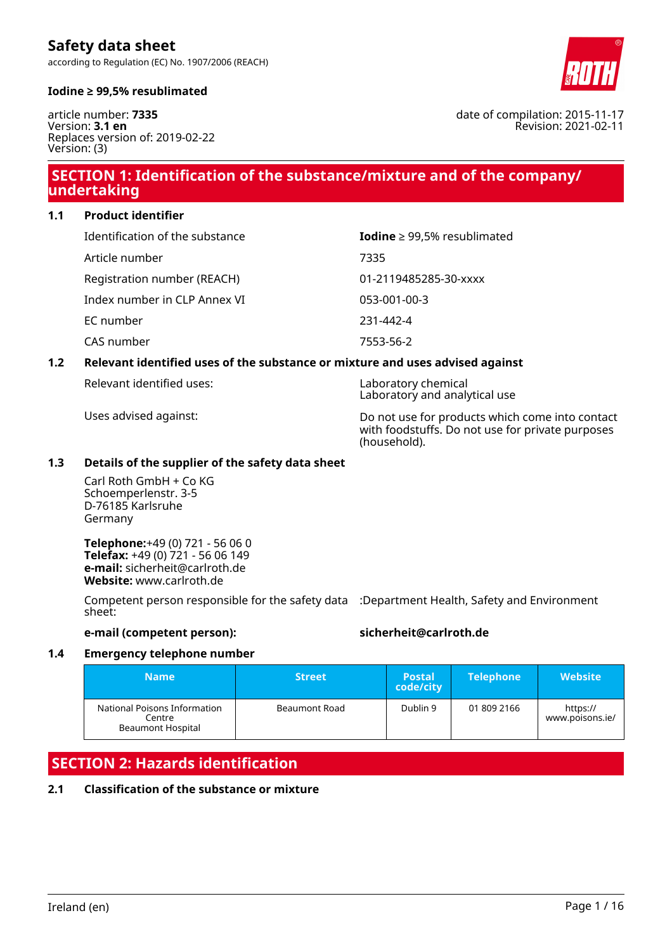according to Regulation (EC) No. 1907/2006 (REACH)



#### **Iodine ≥ 99,5% resublimated**

article number: **7335** Version: **3.1 en** Replaces version of: 2019-02-22 Version: (3)

# **SECTION 1: Identification of the substance/mixture and of the company/ undertaking**

**1.1 Product identifier**

| Identification of the substance | Iodine $\geq$ 99,5% resublimated |
|---------------------------------|----------------------------------|
| Article number                  | 7335                             |
| Registration number (REACH)     | 01-2119485285-30-xxxx            |
| Index number in CLP Annex VI    | 053-001-00-3                     |
| EC number                       | 231-442-4                        |
| CAS number                      | 7553-56-2                        |

#### **1.2 Relevant identified uses of the substance or mixture and uses advised against**

Relevant identified uses: Laboratory chemical

Laboratory and analytical use

Uses advised against: Do not use for products which come into contact with foodstuffs. Do not use for private purposes (household).

#### **1.3 Details of the supplier of the safety data sheet**

Carl Roth GmbH + Co KG Schoemperlenstr. 3-5 D-76185 Karlsruhe Germany

**Telephone:**+49 (0) 721 - 56 06 0 **Telefax:** +49 (0) 721 - 56 06 149 **e-mail:** sicherheit@carlroth.de **Website:** www.carlroth.de

Competent person responsible for the safety data :Department Health, Safety and Environment sheet:

**e-mail (competent person): sicherheit@carlroth.de**

#### **1.4 Emergency telephone number**

| <b>Name</b>                                                        | <b>Street</b> | 'Postal.<br>code/city | <b>Telephone</b> | <b>Website</b>              |
|--------------------------------------------------------------------|---------------|-----------------------|------------------|-----------------------------|
| National Poisons Information<br>Centre<br><b>Beaumont Hospital</b> | Beaumont Road | Dublin 9              | 01 809 2166      | https://<br>www.poisons.ie/ |

# **SECTION 2: Hazards identification**

### **2.1 Classification of the substance or mixture**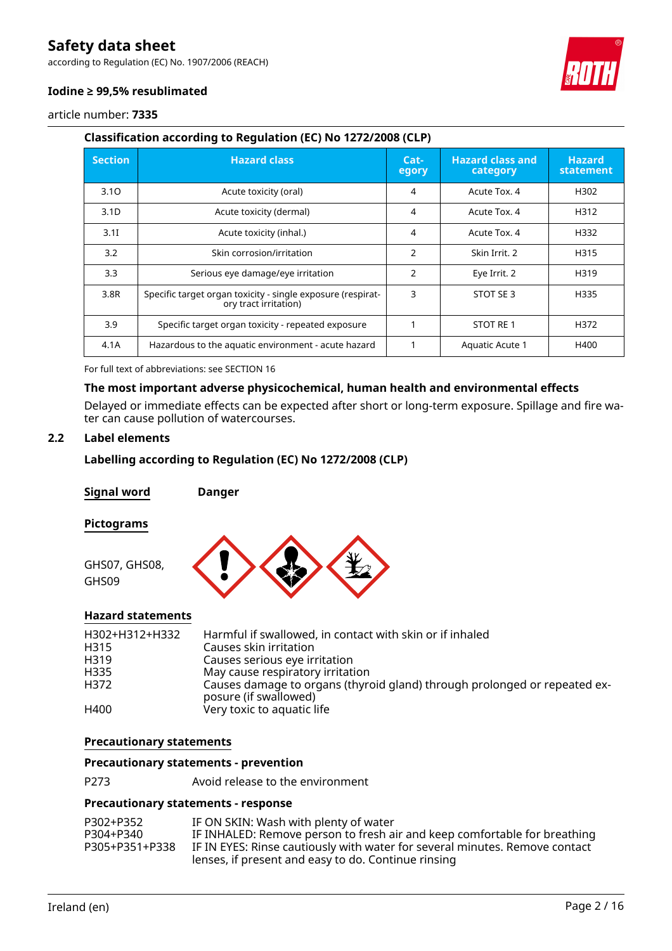according to Regulation (EC) No. 1907/2006 (REACH)



#### **Iodine ≥ 99,5% resublimated**

article number: **7335**

### **Classification according to Regulation (EC) No 1272/2008 (CLP)**

| <b>Section</b>   | <b>Hazard class</b>                                                                  | <u>'Cat-</u><br>egory | <b>Hazard class and</b><br>category | <b>Hazard</b><br>statement |
|------------------|--------------------------------------------------------------------------------------|-----------------------|-------------------------------------|----------------------------|
| 3.10             | Acute toxicity (oral)                                                                | 4                     | Acute Tox, 4                        | H302                       |
| 3.1 <sub>D</sub> | Acute toxicity (dermal)                                                              | 4                     | Acute Tox, 4                        | H312                       |
| 3.1I             | Acute toxicity (inhal.)                                                              | 4                     | Acute Tox, 4                        | H332                       |
| 3.2              | Skin corrosion/irritation                                                            | $\mathcal{P}$         | Skin Irrit. 2                       | H315                       |
| 3.3              | Serious eye damage/eye irritation                                                    | $\overline{2}$        | Eye Irrit. 2                        | H319                       |
| 3.8R             | Specific target organ toxicity - single exposure (respirat-<br>ory tract irritation) | 3                     | STOT SE 3                           | H335                       |
| 3.9              | Specific target organ toxicity - repeated exposure                                   |                       | STOT RE 1                           | H372                       |
| 4.1A             | Hazardous to the aquatic environment - acute hazard                                  |                       | Aquatic Acute 1                     | H400                       |

For full text of abbreviations: see SECTION 16

#### **The most important adverse physicochemical, human health and environmental effects**

Delayed or immediate effects can be expected after short or long-term exposure. Spillage and fire water can cause pollution of watercourses.

### **2.2 Label elements**

### **Labelling according to Regulation (EC) No 1272/2008 (CLP)**

**Signal word Danger**

#### **Pictograms**



### **Hazard statements**

| Harmful if swallowed, in contact with skin or if inhaled<br>Causes skin irritation<br>Causes serious eye irritation<br>May cause respiratory irritation<br>Causes damage to organs (thyroid gland) through prolonged or repeated ex-<br>posure (if swallowed) |
|---------------------------------------------------------------------------------------------------------------------------------------------------------------------------------------------------------------------------------------------------------------|
| Very toxic to aquatic life                                                                                                                                                                                                                                    |
|                                                                                                                                                                                                                                                               |

#### **Precautionary statements**

#### **Precautionary statements - prevention**

P273 Avoid release to the environment

#### **Precautionary statements - response**

| P302+P352      | IF ON SKIN: Wash with plenty of water                                       |
|----------------|-----------------------------------------------------------------------------|
| P304+P340      | IF INHALED: Remove person to fresh air and keep comfortable for breathing   |
| P305+P351+P338 | IF IN EYES: Rinse cautiously with water for several minutes. Remove contact |
|                | lenses, if present and easy to do. Continue rinsing                         |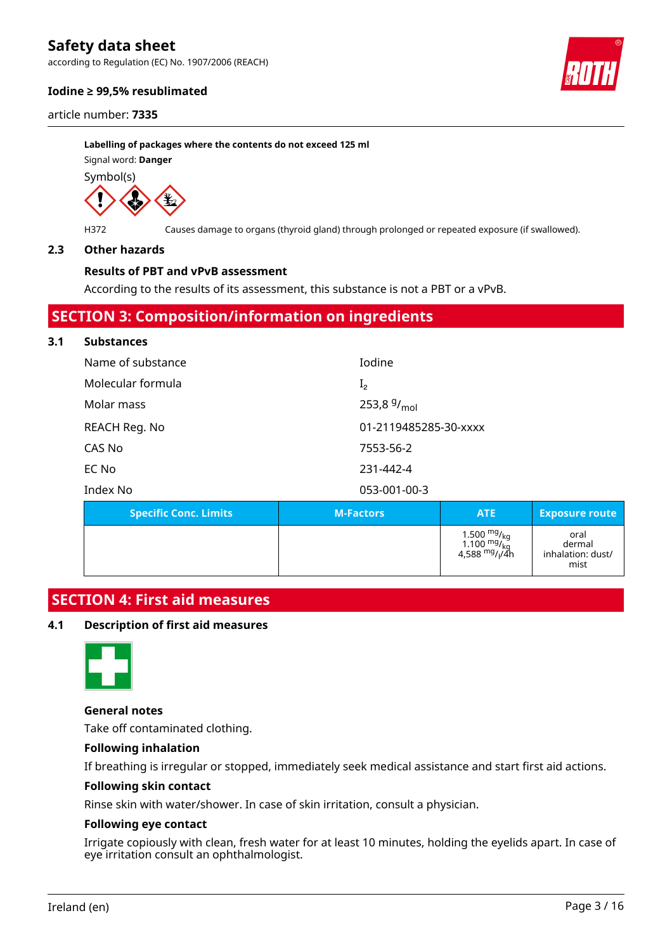according to Regulation (EC) No. 1907/2006 (REACH)

#### **Iodine ≥ 99,5% resublimated**

article number: **7335**

**Labelling of packages where the contents do not exceed 125 ml** Signal word: **Danger**

Symbol(s)



H372 Causes damage to organs (thyroid gland) through prolonged or repeated exposure (if swallowed).

#### **2.3 Other hazards**

#### **Results of PBT and vPvB assessment**

According to the results of its assessment, this substance is not a PBT or a vPvB.

### **SECTION 3: Composition/information on ingredients**

#### **3.1 Substances**

| Name of substance | Iodine                |
|-------------------|-----------------------|
| Molecular formula | I <sub>2</sub>        |
| Molar mass        | 253,8 $9/_{mol}$      |
| REACH Reg. No     | 01-2119485285-30-xxxx |
| CAS No            | 7553-56-2             |
| EC No             | 231-442-4             |
| Index No          | 053-001-00-3          |
|                   |                       |

| <b>Specific Conc. Limits</b> | <b>M-Factors</b> | <b>ATE</b>                                                                                                           | <b>Exposure route</b>                       |
|------------------------------|------------------|----------------------------------------------------------------------------------------------------------------------|---------------------------------------------|
|                              |                  | 1.500 <sup>mg</sup> / <sub>kg</sub><br>1.100 <sup>mg</sup> / <sub>kg</sub><br>4,588 <sup>mg</sup> / <sub>l</sub> /4h | oral<br>dermal<br>inhalation: dust/<br>mist |

## **SECTION 4: First aid measures**

#### **4.1 Description of first aid measures**



#### **General notes**

Take off contaminated clothing.

#### **Following inhalation**

If breathing is irregular or stopped, immediately seek medical assistance and start first aid actions.

#### **Following skin contact**

Rinse skin with water/shower. In case of skin irritation, consult a physician.

#### **Following eye contact**

Irrigate copiously with clean, fresh water for at least 10 minutes, holding the eyelids apart. In case of eye irritation consult an ophthalmologist.

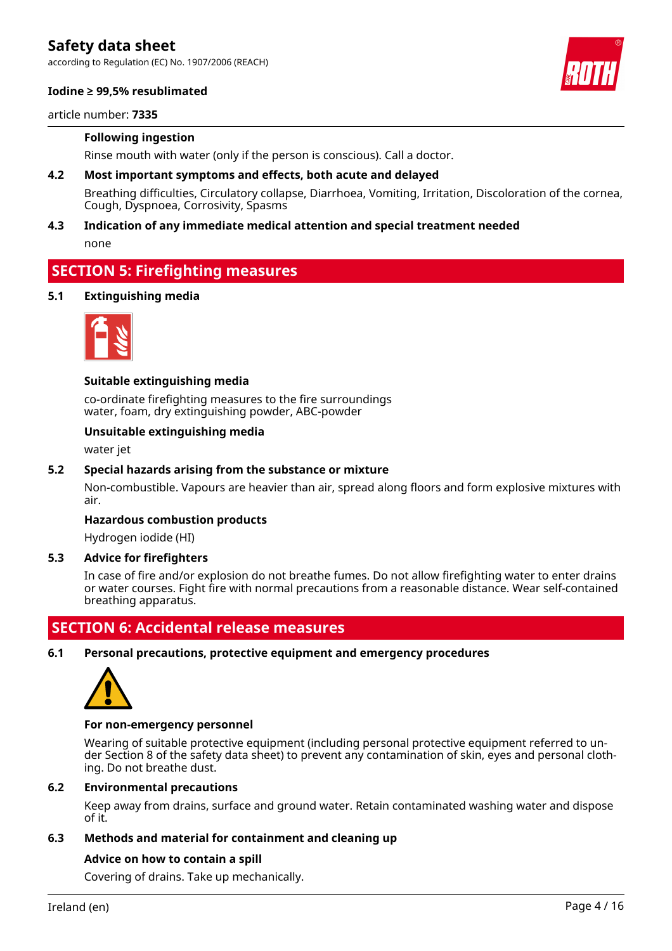according to Regulation (EC) No. 1907/2006 (REACH)

#### **Iodine ≥ 99,5% resublimated**

article number: **7335**

#### **Following ingestion**

Rinse mouth with water (only if the person is conscious). Call a doctor.

**4.2 Most important symptoms and effects, both acute and delayed**

Breathing difficulties, Circulatory collapse, Diarrhoea, Vomiting, Irritation, Discoloration of the cornea, Cough, Dyspnoea, Corrosivity, Spasms

#### **4.3 Indication of any immediate medical attention and special treatment needed**

none

### **SECTION 5: Firefighting measures**

#### **5.1 Extinguishing media**



#### **Suitable extinguishing media**

co-ordinate firefighting measures to the fire surroundings water, foam, dry extinguishing powder, ABC-powder

#### **Unsuitable extinguishing media**

water jet

#### **5.2 Special hazards arising from the substance or mixture**

Non-combustible. Vapours are heavier than air, spread along floors and form explosive mixtures with air.

#### **Hazardous combustion products**

Hydrogen iodide (HI)

#### **5.3 Advice for firefighters**

In case of fire and/or explosion do not breathe fumes. Do not allow firefighting water to enter drains or water courses. Fight fire with normal precautions from a reasonable distance. Wear self-contained breathing apparatus.

### **SECTION 6: Accidental release measures**

**6.1 Personal precautions, protective equipment and emergency procedures**



#### **For non-emergency personnel**

Wearing of suitable protective equipment (including personal protective equipment referred to under Section 8 of the safety data sheet) to prevent any contamination of skin, eyes and personal clothing. Do not breathe dust.

#### **6.2 Environmental precautions**

Keep away from drains, surface and ground water. Retain contaminated washing water and dispose of it.

#### **6.3 Methods and material for containment and cleaning up**

#### **Advice on how to contain a spill**

Covering of drains. Take up mechanically.

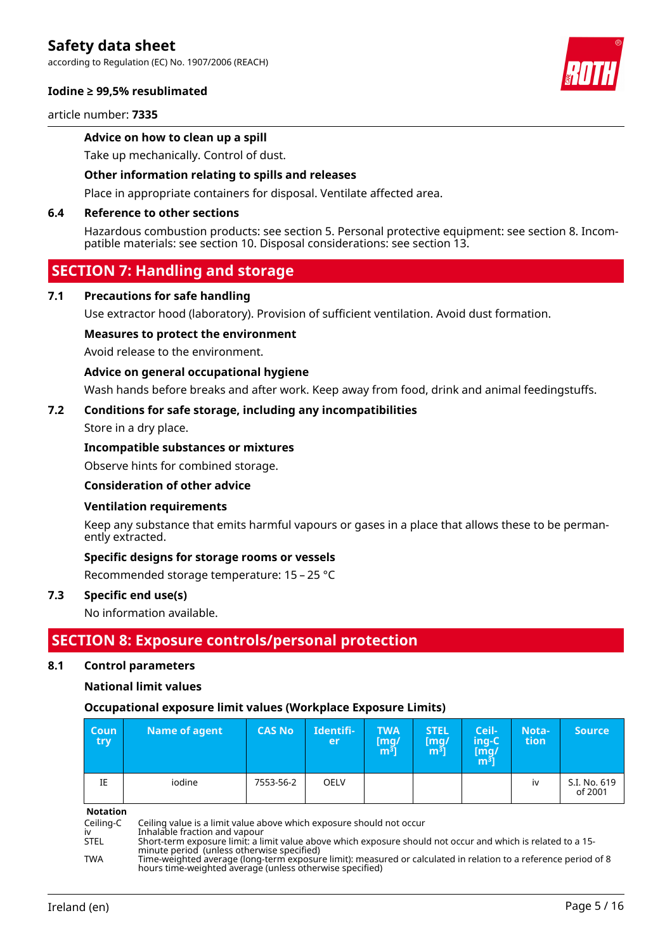according to Regulation (EC) No. 1907/2006 (REACH)

#### **Iodine ≥ 99,5% resublimated**

article number: **7335**

#### **Advice on how to clean up a spill**

Take up mechanically. Control of dust.

#### **Other information relating to spills and releases**

Place in appropriate containers for disposal. Ventilate affected area.

#### **6.4 Reference to other sections**

Hazardous combustion products: see section 5. Personal protective equipment: see section 8. Incompatible materials: see section 10. Disposal considerations: see section 13.

## **SECTION 7: Handling and storage**

#### **7.1 Precautions for safe handling**

Use extractor hood (laboratory). Provision of sufficient ventilation. Avoid dust formation.

#### **Measures to protect the environment**

Avoid release to the environment.

#### **Advice on general occupational hygiene**

Wash hands before breaks and after work. Keep away from food, drink and animal feedingstuffs.

#### **7.2 Conditions for safe storage, including any incompatibilities**

Store in a dry place.

#### **Incompatible substances or mixtures**

Observe hints for combined storage.

#### **Consideration of other advice**

#### **Ventilation requirements**

Keep any substance that emits harmful vapours or gases in a place that allows these to be permanently extracted.

#### **Specific designs for storage rooms or vessels**

Recommended storage temperature: 15 – 25 °C

#### **7.3 Specific end use(s)**

No information available.

### **SECTION 8: Exposure controls/personal protection**

#### **8.1 Control parameters**

#### **National limit values**

#### **Occupational exposure limit values (Workplace Exposure Limits)**

| <b>Coun</b><br>try | Name of agent | <b>CAS No</b> | Identifi-<br>er | <b>TWA</b><br>[mg/<br>$\mathsf{m}^{\bar{\mathsf{3}}}\mathsf{]}$ | <b>STEL</b><br>[mg]<br>$\mathsf{m}^{\bar{\mathsf{3}}}]$ | Ceil-<br>ing-C<br>[mg/<br>m <sup>3</sup> | Nota-<br>tion | <b>Source</b>           |
|--------------------|---------------|---------------|-----------------|-----------------------------------------------------------------|---------------------------------------------------------|------------------------------------------|---------------|-------------------------|
| IE                 | iodine        | 7553-56-2     | <b>OELV</b>     |                                                                 |                                                         |                                          | iv            | S.I. No. 619<br>of 2001 |

**Notation**

Ceiling-C Ceiling value is a limit value above which exposure should not occur<br>iv inhalable fraction and vapour<br>STEL Short-term exposure limit: a limit value above which exposure shoul

iv Inhalable fraction and vapour

TWA Time-weighted average (long-term exposure limit): measured or calculated in relation to a reference period of 8 hours time-weighted average (unless otherwise specified)





STEL Short-term exposure limit: a limit value above which exposure should not occur and which is related to a 15 minute period (unless otherwise specified)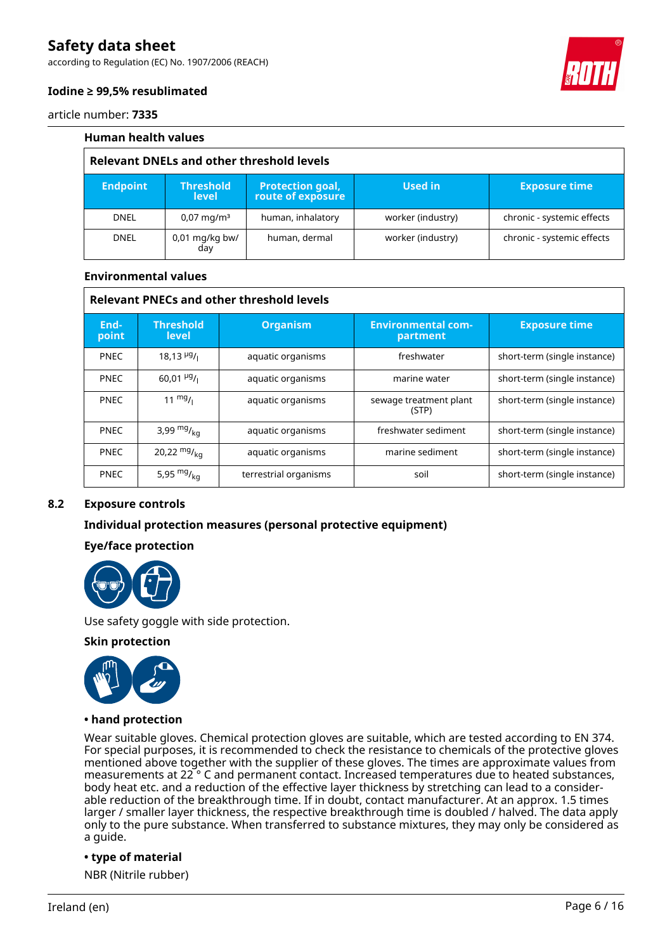according to Regulation (EC) No. 1907/2006 (REACH)



#### **Iodine ≥ 99,5% resublimated**

article number: **7335**

| <b>Human health values</b>                       |                                  |                                              |                   |                            |  |
|--------------------------------------------------|----------------------------------|----------------------------------------------|-------------------|----------------------------|--|
| <b>Relevant DNELs and other threshold levels</b> |                                  |                                              |                   |                            |  |
| <b>Endpoint</b>                                  | <b>Threshold</b><br><b>level</b> | <b>Protection goal,</b><br>route of exposure | <b>Used in</b>    | <b>Exposure time</b>       |  |
| <b>DNEL</b>                                      | $0.07 \,\mathrm{mag/m^3}$        | human, inhalatory                            | worker (industry) | chronic - systemic effects |  |
| <b>DNEL</b>                                      | 0,01 mg/kg bw/<br>day            | human, dermal                                | worker (industry) | chronic - systemic effects |  |

#### **Environmental values**

| <b>Relevant PNECs and other threshold levels</b> |                                      |                       |                                       |                              |  |
|--------------------------------------------------|--------------------------------------|-----------------------|---------------------------------------|------------------------------|--|
| End-<br>point                                    | <b>Threshold</b><br><b>level</b>     | <b>Organism</b>       | <b>Environmental com-</b><br>partment | <b>Exposure time</b>         |  |
| <b>PNEC</b>                                      | $18,13$ <sup>µg</sup> / <sub>1</sub> | aquatic organisms     | freshwater                            | short-term (single instance) |  |
| <b>PNEC</b>                                      | $60.01 \frac{\mu g}{\mu}$            | aquatic organisms     | marine water                          | short-term (single instance) |  |
| <b>PNEC</b>                                      | $11 \frac{mg}{l}$                    | aquatic organisms     | sewage treatment plant<br>(STP)       | short-term (single instance) |  |
| <b>PNEC</b>                                      | 3,99 $mg/kq$                         | aquatic organisms     | freshwater sediment                   | short-term (single instance) |  |
| <b>PNEC</b>                                      | 20,22 $mg/_{ka}$                     | aquatic organisms     | marine sediment                       | short-term (single instance) |  |
| <b>PNEC</b>                                      | 5,95 $mg/ka$                         | terrestrial organisms | soil                                  | short-term (single instance) |  |

#### **8.2 Exposure controls**

#### **Individual protection measures (personal protective equipment)**

#### **Eye/face protection**



Use safety goggle with side protection.

#### **Skin protection**



#### **• hand protection**

Wear suitable gloves. Chemical protection gloves are suitable, which are tested according to EN 374. For special purposes, it is recommended to check the resistance to chemicals of the protective gloves mentioned above together with the supplier of these gloves. The times are approximate values from measurements at 22 ° C and permanent contact. Increased temperatures due to heated substances, body heat etc. and a reduction of the effective layer thickness by stretching can lead to a considerable reduction of the breakthrough time. If in doubt, contact manufacturer. At an approx. 1.5 times larger / smaller layer thickness, the respective breakthrough time is doubled / halved. The data apply only to the pure substance. When transferred to substance mixtures, they may only be considered as a guide.

#### **• type of material**

NBR (Nitrile rubber)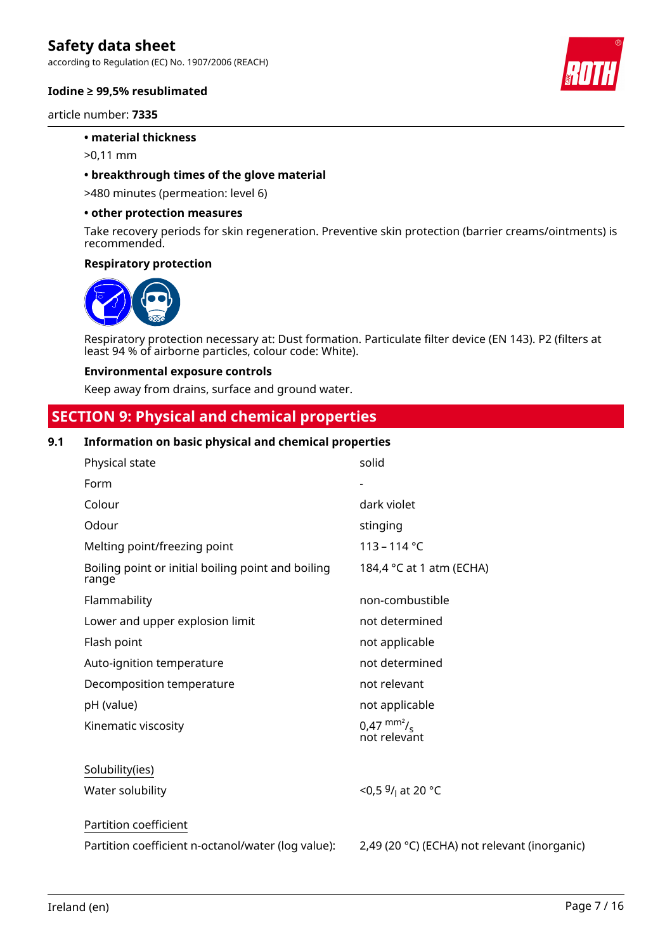according to Regulation (EC) No. 1907/2006 (REACH)

#### **Iodine ≥ 99,5% resublimated**

article number: **7335**

#### **• material thickness**

>0,11 mm

#### **• breakthrough times of the glove material**

>480 minutes (permeation: level 6)

#### **• other protection measures**

Take recovery periods for skin regeneration. Preventive skin protection (barrier creams/ointments) is recommended.

#### **Respiratory protection**



Respiratory protection necessary at: Dust formation. Particulate filter device (EN 143). P2 (filters at least 94 % of airborne particles, colour code: White).

#### **Environmental exposure controls**

Keep away from drains, surface and ground water.

# **SECTION 9: Physical and chemical properties**

#### **9.1 Information on basic physical and chemical properties**

| Physical state                                              | solid                                        |
|-------------------------------------------------------------|----------------------------------------------|
| Form                                                        |                                              |
| Colour                                                      | dark violet                                  |
| Odour                                                       | stinging                                     |
| Melting point/freezing point                                | $113 - 114$ °C                               |
| Boiling point or initial boiling point and boiling<br>range | 184,4 °C at 1 atm (ECHA)                     |
| Flammability                                                | non-combustible                              |
| Lower and upper explosion limit                             | not determined                               |
| Flash point                                                 | not applicable                               |
| Auto-ignition temperature                                   | not determined                               |
| Decomposition temperature                                   | not relevant                                 |
| pH (value)                                                  | not applicable                               |
| Kinematic viscosity                                         | $0.47 \text{ mm}^2/\text{s}$<br>not relevant |
| Solubility(ies)                                             |                                              |
| Water solubility                                            | <0,5 $9/1$ at 20 °C                          |
| Partition coefficient                                       |                                              |
| Partition coefficient n-octanol/water (log value):          | 2,49 (20 °C) (ECHA) not relevant (inorganic) |

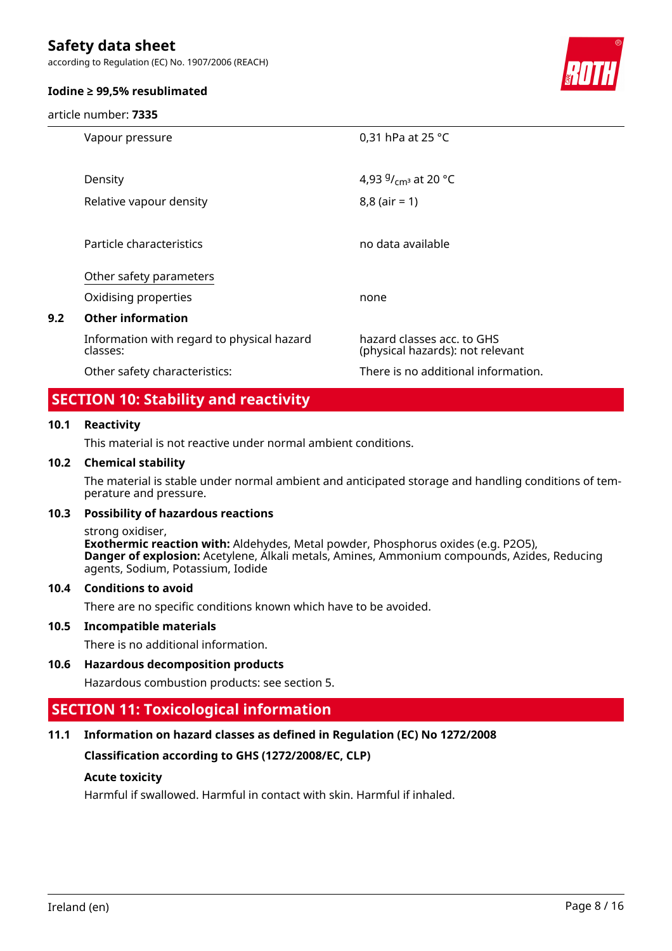according to Regulation (EC) No. 1907/2006 (REACH)

#### **Iodine ≥ 99,5% resublimated**

article number: **7335**



|     | Vapour pressure                                        | 0,31 hPa at 25 °C                                              |
|-----|--------------------------------------------------------|----------------------------------------------------------------|
|     |                                                        |                                                                |
|     | Density                                                | 4,93 $9/$ <sub>cm</sub> at 20 °C                               |
|     | Relative vapour density                                | $8,8$ (air = 1)                                                |
|     |                                                        |                                                                |
|     | Particle characteristics                               | no data available                                              |
|     |                                                        |                                                                |
|     | Other safety parameters                                |                                                                |
|     | Oxidising properties                                   | none                                                           |
| 9.2 | <b>Other information</b>                               |                                                                |
|     | Information with regard to physical hazard<br>classes: | hazard classes acc. to GHS<br>(physical hazards): not relevant |
|     | Other safety characteristics:                          | There is no additional information.                            |
|     |                                                        |                                                                |

# **SECTION 10: Stability and reactivity**

### **10.1 Reactivity**

This material is not reactive under normal ambient conditions.

#### **10.2 Chemical stability**

The material is stable under normal ambient and anticipated storage and handling conditions of temperature and pressure.

#### **10.3 Possibility of hazardous reactions**

strong oxidiser,

**Exothermic reaction with:** Aldehydes, Metal powder, Phosphorus oxides (e.g. P2O5), **Danger of explosion:** Acetylene, Alkali metals, Amines, Ammonium compounds, Azides, Reducing agents, Sodium, Potassium, Iodide

#### **10.4 Conditions to avoid**

There are no specific conditions known which have to be avoided.

#### **10.5 Incompatible materials**

There is no additional information.

### **10.6 Hazardous decomposition products**

Hazardous combustion products: see section 5.

## **SECTION 11: Toxicological information**

### **11.1 Information on hazard classes as defined in Regulation (EC) No 1272/2008**

**Classification according to GHS (1272/2008/EC, CLP)**

#### **Acute toxicity**

Harmful if swallowed. Harmful in contact with skin. Harmful if inhaled.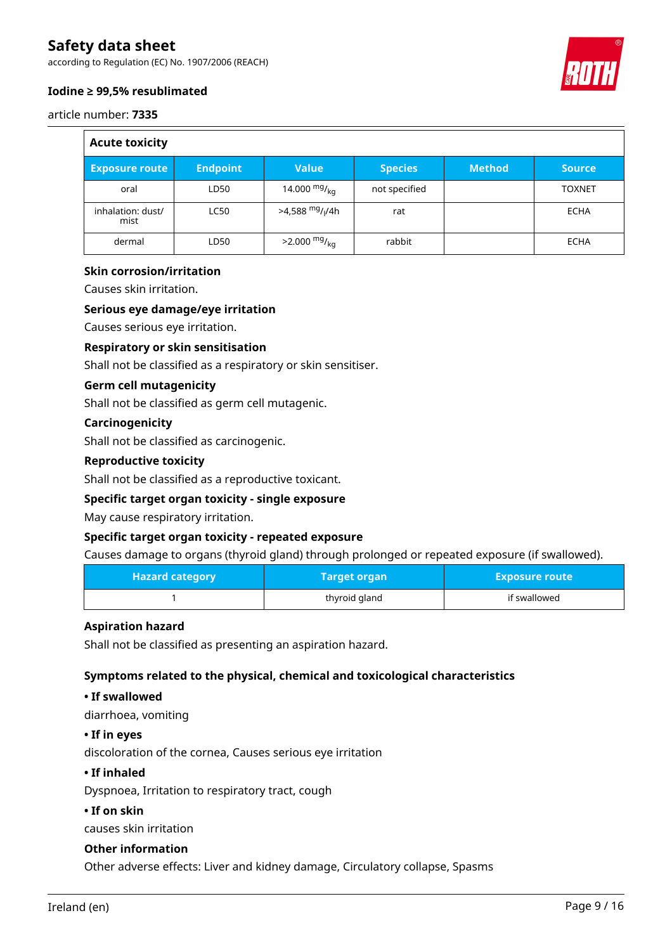according to Regulation (EC) No. 1907/2006 (REACH)

#### **Iodine ≥ 99,5% resublimated**

article number: **7335**

 $\overline{\overline{}}$ 

| <b>Acute toxicity</b>     |                 |                               |                |               |               |
|---------------------------|-----------------|-------------------------------|----------------|---------------|---------------|
| <b>Exposure route</b>     | <b>Endpoint</b> | <b>Value</b>                  | <b>Species</b> | <b>Method</b> | <b>Source</b> |
| oral                      | LD50            | 14.000 $mg/kq$                | not specified  |               | <b>TOXNET</b> |
| inhalation: dust/<br>mist | <b>LC50</b>     | $>4,588$ mg/ <sub>I</sub> /4h | rat            |               | <b>ECHA</b>   |
| dermal                    | LD50            | $>2.000 \frac{mg}{kg}$        | rabbit         |               | ECHA          |

#### **Skin corrosion/irritation**

Causes skin irritation.

#### **Serious eye damage/eye irritation**

Causes serious eye irritation.

#### **Respiratory or skin sensitisation**

Shall not be classified as a respiratory or skin sensitiser.

#### **Germ cell mutagenicity**

Shall not be classified as germ cell mutagenic.

#### **Carcinogenicity**

Shall not be classified as carcinogenic.

#### **Reproductive toxicity**

Shall not be classified as a reproductive toxicant.

#### **Specific target organ toxicity - single exposure**

May cause respiratory irritation.

#### **Specific target organ toxicity - repeated exposure**

Causes damage to organs (thyroid gland) through prolonged or repeated exposure (if swallowed).

| <b>Hazard category</b> | Target organ  | <b>Exposure route</b> |
|------------------------|---------------|-----------------------|
|                        | thyroid gland | if swallowed          |

#### **Aspiration hazard**

Shall not be classified as presenting an aspiration hazard.

#### **Symptoms related to the physical, chemical and toxicological characteristics**

#### **• If swallowed**

diarrhoea, vomiting

#### **• If in eyes**

discoloration of the cornea, Causes serious eye irritation

#### **• If inhaled**

Dyspnoea, Irritation to respiratory tract, cough

#### **• If on skin**

causes skin irritation

#### **Other information**

Other adverse effects: Liver and kidney damage, Circulatory collapse, Spasms

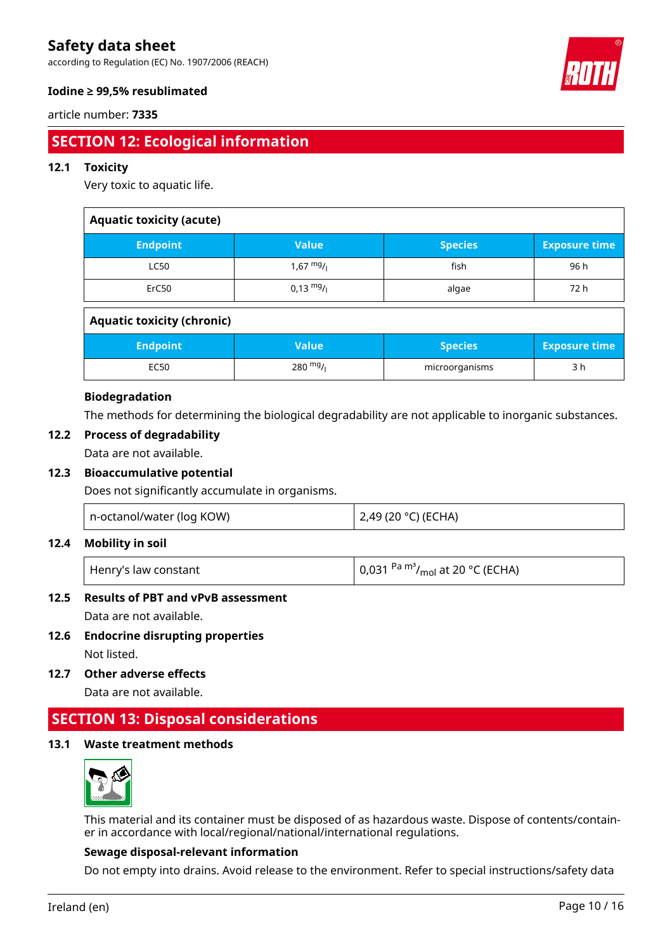according to Regulation (EC) No. 1907/2006 (REACH)



### **Iodine ≥ 99,5% resublimated**

#### article number: **7335**

# **SECTION 12: Ecological information**

#### **12.1 Toxicity**

Very toxic to aquatic life.

| <b>Aquatic toxicity (acute)</b>   |                     |                |                      |  |
|-----------------------------------|---------------------|----------------|----------------------|--|
| <b>Endpoint</b>                   | <b>Value</b>        | <b>Species</b> | <b>Exposure time</b> |  |
| <b>LC50</b>                       | $1,67$ mg/          | fish           | 96 h                 |  |
| ErC <sub>50</sub>                 | $0.13 \frac{mg}{l}$ | algae          | 72 h                 |  |
| <b>Aquatic toxicity (chronic)</b> |                     |                |                      |  |
| <b>Endpoint</b>                   | <b>Value</b>        | <b>Species</b> | <b>Exposure time</b> |  |
| <b>EC50</b>                       | $280 \frac{mg}{l}$  | microorganisms | 3 h                  |  |

#### **Biodegradation**

The methods for determining the biological degradability are not applicable to inorganic substances.

### **12.2 Process of degradability**

Data are not available.

#### **12.3 Bioaccumulative potential**

Does not significantly accumulate in organisms.

| n-octanol/water (log KOW) | 2,49 (20 °C) (ECHA) |
|---------------------------|---------------------|
|---------------------------|---------------------|

#### **12.4 Mobility in soil**

| Henry's law constant | $\vert$ 0,031 <sup>Pa m<sup>3</sup>/<sub>mol</sub> at 20 °C (ECHA)</sup> |
|----------------------|--------------------------------------------------------------------------|
|----------------------|--------------------------------------------------------------------------|

### **12.5 Results of PBT and vPvB assessment**

Data are not available.

- **12.6 Endocrine disrupting properties** Not listed.
- **12.7 Other adverse effects**

Data are not available.

## **SECTION 13: Disposal considerations**

#### **13.1 Waste treatment methods**



This material and its container must be disposed of as hazardous waste. Dispose of contents/container in accordance with local/regional/national/international regulations.

#### **Sewage disposal-relevant information**

Do not empty into drains. Avoid release to the environment. Refer to special instructions/safety data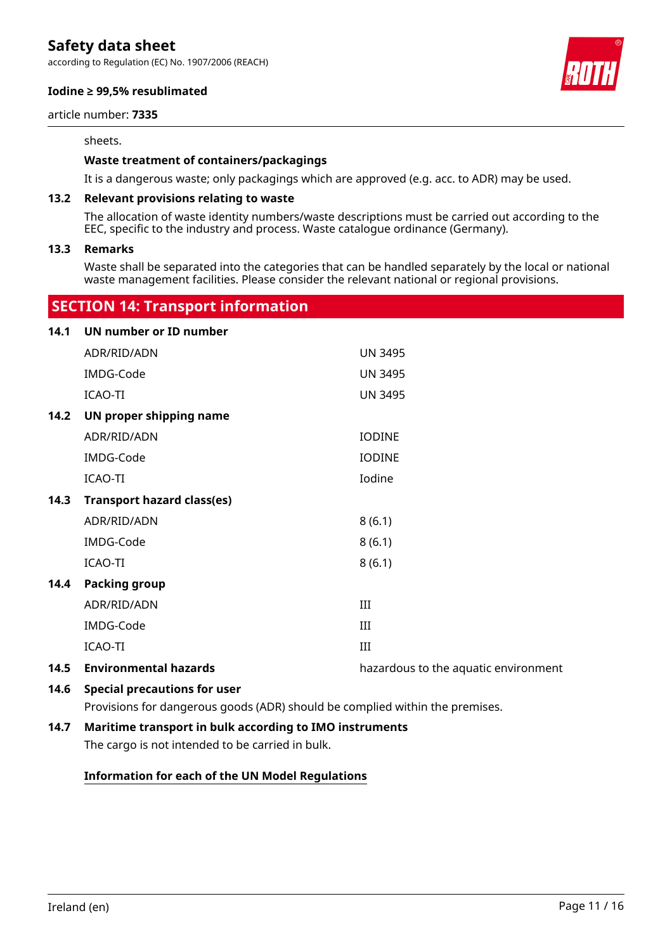according to Regulation (EC) No. 1907/2006 (REACH)

#### **Iodine ≥ 99,5% resublimated**

article number: **7335**

#### sheets.

#### **Waste treatment of containers/packagings**

It is a dangerous waste; only packagings which are approved (e.g. acc. to ADR) may be used.

#### **13.2 Relevant provisions relating to waste**

The allocation of waste identity numbers/waste descriptions must be carried out according to the EEC, specific to the industry and process. Waste catalogue ordinance (Germany).

#### **13.3 Remarks**

Waste shall be separated into the categories that can be handled separately by the local or national waste management facilities. Please consider the relevant national or regional provisions.

### **SECTION 14: Transport information**

| <b>UN number or ID number</b>       |                                      |
|-------------------------------------|--------------------------------------|
| ADR/RID/ADN                         | <b>UN 3495</b>                       |
| IMDG-Code                           | <b>UN 3495</b>                       |
| ICAO-TI                             | <b>UN 3495</b>                       |
| UN proper shipping name             |                                      |
| ADR/RID/ADN                         | <b>IODINE</b>                        |
| IMDG-Code                           | <b>IODINE</b>                        |
| <b>ICAO-TI</b>                      | Iodine                               |
| <b>Transport hazard class(es)</b>   |                                      |
| ADR/RID/ADN                         | 8(6.1)                               |
| IMDG-Code                           | 8(6.1)                               |
| ICAO-TI                             | 8(6.1)                               |
| <b>Packing group</b>                |                                      |
| ADR/RID/ADN                         | III                                  |
| IMDG-Code                           | III                                  |
| ICAO-TI                             | III                                  |
| <b>Environmental hazards</b>        | hazardous to the aquatic environment |
| <b>Special precautions for user</b> |                                      |
| 14.3                                |                                      |

Provisions for dangerous goods (ADR) should be complied within the premises.

### **14.7 Maritime transport in bulk according to IMO instruments**

The cargo is not intended to be carried in bulk.

#### **Information for each of the UN Model Regulations**

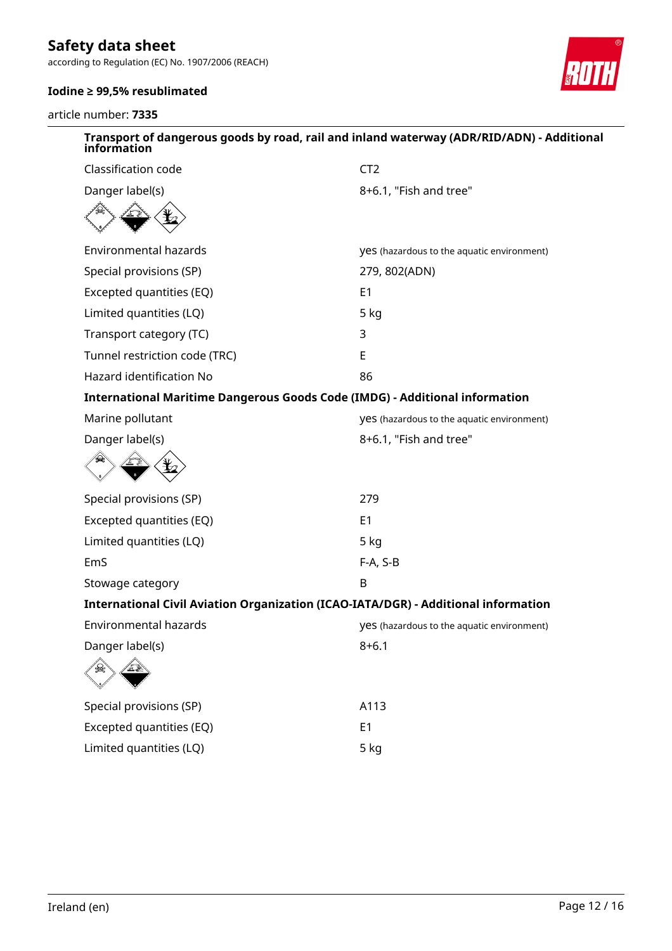according to Regulation (EC) No. 1907/2006 (REACH)

### **Iodine ≥ 99,5% resublimated**

article number: **7335**



| Transport of dangerous goods by road, rail and inland waterway (ADR/RID/ADN) - Additional<br>information |                                            |  |
|----------------------------------------------------------------------------------------------------------|--------------------------------------------|--|
| Classification code                                                                                      | CT <sub>2</sub>                            |  |
| Danger label(s)                                                                                          | 8+6.1, "Fish and tree"                     |  |
|                                                                                                          |                                            |  |
| <b>Environmental hazards</b>                                                                             | yes (hazardous to the aquatic environment) |  |
| Special provisions (SP)                                                                                  | 279, 802(ADN)                              |  |
| Excepted quantities (EQ)                                                                                 | E <sub>1</sub>                             |  |
| Limited quantities (LQ)                                                                                  | 5 kg                                       |  |
| Transport category (TC)                                                                                  | 3                                          |  |
| Tunnel restriction code (TRC)                                                                            | E                                          |  |
| Hazard identification No                                                                                 | 86                                         |  |
| <b>International Maritime Dangerous Goods Code (IMDG) - Additional information</b>                       |                                            |  |
| Marine pollutant                                                                                         | yes (hazardous to the aquatic environment) |  |
| Danger label(s)                                                                                          | 8+6.1, "Fish and tree"                     |  |
|                                                                                                          |                                            |  |
| Special provisions (SP)                                                                                  | 279                                        |  |
| Excepted quantities (EQ)                                                                                 | E <sub>1</sub>                             |  |
| Limited quantities (LQ)                                                                                  | 5 kg                                       |  |
| EmS                                                                                                      | F-A, S-B                                   |  |
| Stowage category                                                                                         | B                                          |  |
| International Civil Aviation Organization (ICAO-IATA/DGR) - Additional information                       |                                            |  |
| <b>Environmental hazards</b>                                                                             | yes (hazardous to the aquatic environment) |  |
| Danger label(s)                                                                                          | $8 + 6.1$                                  |  |
|                                                                                                          |                                            |  |
| Special provisions (SP)                                                                                  | A113                                       |  |
| Excepted quantities (EQ)                                                                                 | E <sub>1</sub>                             |  |
| Limited quantities (LQ)                                                                                  | 5 kg                                       |  |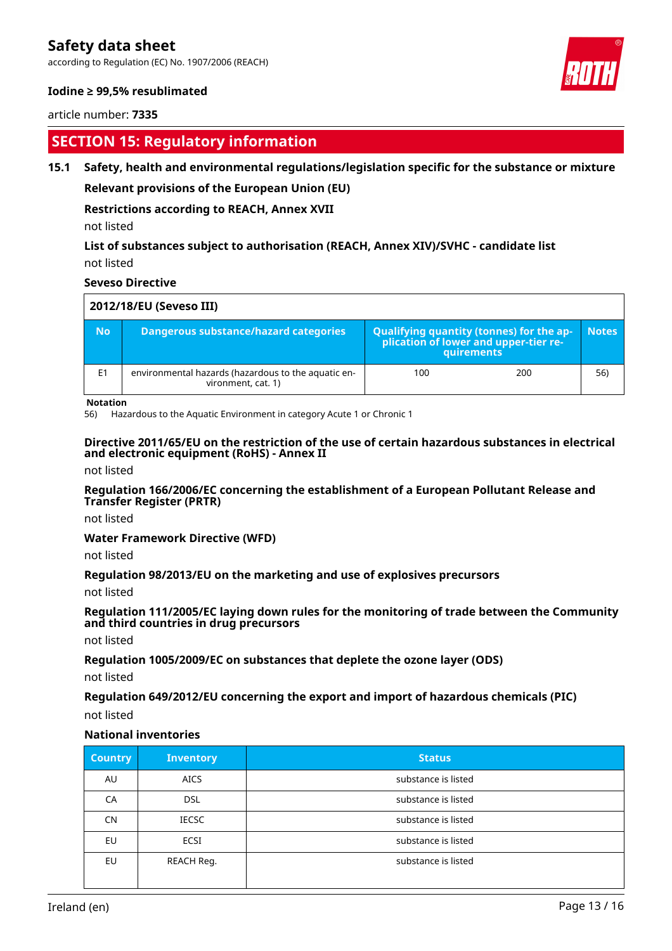according to Regulation (EC) No. 1907/2006 (REACH)

#### **Iodine ≥ 99,5% resublimated**

article number: **7335**

# **SECTION 15: Regulatory information**

#### **15.1 Safety, health and environmental regulations/legislation specific for the substance or mixture**

**Relevant provisions of the European Union (EU)**

#### **Restrictions according to REACH, Annex XVII**

not listed

#### **List of substances subject to authorisation (REACH, Annex XIV)/SVHC - candidate list** not listed

#### **Seveso Directive**

| 2012/18/EU (Seveso III) |                |                                                                           |                                                                                                        |     |
|-------------------------|----------------|---------------------------------------------------------------------------|--------------------------------------------------------------------------------------------------------|-----|
|                         | <b>No</b>      | Dangerous substance/hazard categories                                     | <b>Qualifying quantity (tonnes) for the ap-</b><br>plication of lower and upper-tier re-<br>quirements |     |
|                         | E <sub>1</sub> | environmental hazards (hazardous to the aquatic en-<br>vironment, cat. 1) | 200<br>100                                                                                             | 56) |

#### **Notation**

56) Hazardous to the Aquatic Environment in category Acute 1 or Chronic 1

#### **Directive 2011/65/EU on the restriction of the use of certain hazardous substances in electrical and electronic equipment (RoHS) - Annex II**

not listed

#### **Regulation 166/2006/EC concerning the establishment of a European Pollutant Release and Transfer Register (PRTR)**

not listed

#### **Water Framework Directive (WFD)**

not listed

#### **Regulation 98/2013/EU on the marketing and use of explosives precursors**

not listed

#### **Regulation 111/2005/EC laying down rules for the monitoring of trade between the Community and third countries in drug precursors**

not listed

#### **Regulation 1005/2009/EC on substances that deplete the ozone layer (ODS)**

not listed

#### **Regulation 649/2012/EU concerning the export and import of hazardous chemicals (PIC)**

not listed

#### **National inventories**

| <b>Country</b> | <b>Inventory</b> | <b>Status</b>       |
|----------------|------------------|---------------------|
| AU             | <b>AICS</b>      | substance is listed |
| CA             | <b>DSL</b>       | substance is listed |
| CN             | <b>IECSC</b>     | substance is listed |
| EU             | <b>ECSI</b>      | substance is listed |
| EU             | REACH Reg.       | substance is listed |

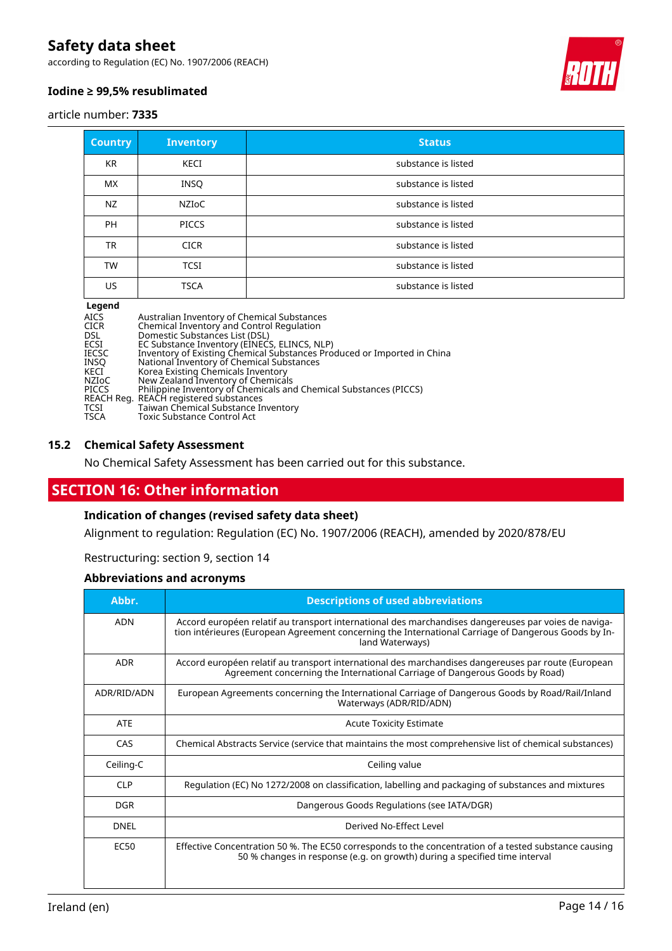according to Regulation (EC) No. 1907/2006 (REACH)



#### **Iodine ≥ 99,5% resublimated**

article number: **7335**

| <b>Country</b> | <b>Inventory</b> | <b>Status</b>       |
|----------------|------------------|---------------------|
| KR             | KECI             | substance is listed |
| <b>MX</b>      | INSQ             | substance is listed |
| NZ             | NZIoC            | substance is listed |
| <b>PH</b>      | <b>PICCS</b>     | substance is listed |
| <b>TR</b>      | <b>CICR</b>      | substance is listed |
| <b>TW</b>      | <b>TCSI</b>      | substance is listed |
| US.            | <b>TSCA</b>      | substance is listed |

#### **Legend**

| Australian Inventory of Chemical Substances<br>Chemical Inventory and Control Regulation |
|------------------------------------------------------------------------------------------|
| Domestic Substances List (DSL)                                                           |
| EC Substance Inventory (EINECS, ELINCS, NLP)                                             |
| Inventory of Existing Chemical Substances Produced or Imported in China                  |
| National Inventory of Chemical Substances                                                |
| Korea Existing Chemicals Inventory                                                       |
| New Zealand Inventory of Chemicals                                                       |
| Philippine Inventory of Chemicals and Chemical Substances (PICCS)                        |
| REACH Reg.  REACH registered substances                                                  |
| Taiwan Chemical Substance Inventory                                                      |
| Toxic Substance Control Act                                                              |
|                                                                                          |

#### **15.2 Chemical Safety Assessment**

No Chemical Safety Assessment has been carried out for this substance.

# **SECTION 16: Other information**

### **Indication of changes (revised safety data sheet)**

Alignment to regulation: Regulation (EC) No. 1907/2006 (REACH), amended by 2020/878/EU

Restructuring: section 9, section 14

#### **Abbreviations and acronyms**

| Abbr.       | <b>Descriptions of used abbreviations</b>                                                                                                                                                                                       |
|-------------|---------------------------------------------------------------------------------------------------------------------------------------------------------------------------------------------------------------------------------|
| <b>ADN</b>  | Accord européen relatif au transport international des marchandises dangereuses par voies de naviga-<br>tion intérieures (European Agreement concerning the International Carriage of Dangerous Goods by In-<br>land Waterways) |
| <b>ADR</b>  | Accord européen relatif au transport international des marchandises dangereuses par route (European<br>Agreement concerning the International Carriage of Dangerous Goods by Road)                                              |
| ADR/RID/ADN | European Agreements concerning the International Carriage of Dangerous Goods by Road/Rail/Inland<br>Waterways (ADR/RID/ADN)                                                                                                     |
| <b>ATE</b>  | <b>Acute Toxicity Estimate</b>                                                                                                                                                                                                  |
| CAS         | Chemical Abstracts Service (service that maintains the most comprehensive list of chemical substances)                                                                                                                          |
| Ceiling-C   | Ceiling value                                                                                                                                                                                                                   |
| <b>CLP</b>  | Regulation (EC) No 1272/2008 on classification, labelling and packaging of substances and mixtures                                                                                                                              |
| <b>DGR</b>  | Dangerous Goods Regulations (see IATA/DGR)                                                                                                                                                                                      |
| <b>DNEL</b> | Derived No-Effect Level                                                                                                                                                                                                         |
| <b>EC50</b> | Effective Concentration 50 %. The EC50 corresponds to the concentration of a tested substance causing<br>50 % changes in response (e.g. on growth) during a specified time interval                                             |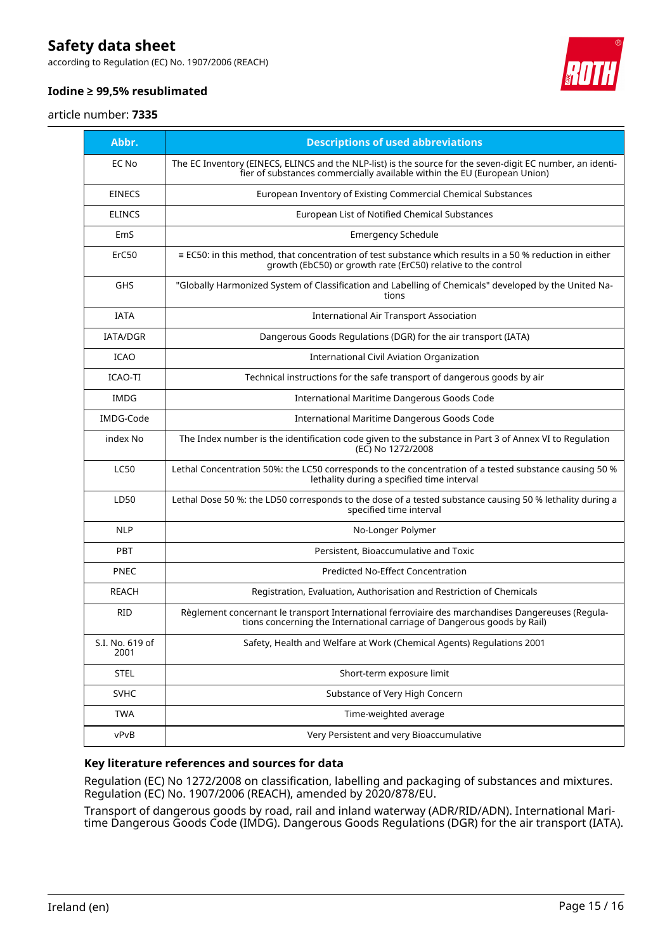according to Regulation (EC) No. 1907/2006 (REACH)



### **Iodine ≥ 99,5% resublimated**

#### article number: **7335**

| Abbr.                   | <b>Descriptions of used abbreviations</b>                                                                                                                                              |
|-------------------------|----------------------------------------------------------------------------------------------------------------------------------------------------------------------------------------|
| EC No                   | The EC Inventory (EINECS, ELINCS and the NLP-list) is the source for the seven-digit EC number, an identi-<br>fier of substances commercially available within the EU (European Union) |
| <b>EINECS</b>           | European Inventory of Existing Commercial Chemical Substances                                                                                                                          |
| <b>ELINCS</b>           | European List of Notified Chemical Substances                                                                                                                                          |
| EmS                     | <b>Emergency Schedule</b>                                                                                                                                                              |
| ErC50                   | ≡ EC50: in this method, that concentration of test substance which results in a 50 % reduction in either<br>growth (EbC50) or growth rate (ErC50) relative to the control              |
| <b>GHS</b>              | "Globally Harmonized System of Classification and Labelling of Chemicals" developed by the United Na-<br>tions                                                                         |
| <b>IATA</b>             | <b>International Air Transport Association</b>                                                                                                                                         |
| <b>IATA/DGR</b>         | Dangerous Goods Regulations (DGR) for the air transport (IATA)                                                                                                                         |
| <b>ICAO</b>             | <b>International Civil Aviation Organization</b>                                                                                                                                       |
| <b>ICAO-TI</b>          | Technical instructions for the safe transport of dangerous goods by air                                                                                                                |
| <b>IMDG</b>             | International Maritime Dangerous Goods Code                                                                                                                                            |
| IMDG-Code               | International Maritime Dangerous Goods Code                                                                                                                                            |
| index No                | The Index number is the identification code given to the substance in Part 3 of Annex VI to Regulation<br>(EC) No 1272/2008                                                            |
| <b>LC50</b>             | Lethal Concentration 50%: the LC50 corresponds to the concentration of a tested substance causing 50 %<br>lethality during a specified time interval                                   |
| LD50                    | Lethal Dose 50 %: the LD50 corresponds to the dose of a tested substance causing 50 % lethality during a<br>specified time interval                                                    |
| <b>NLP</b>              | No-Longer Polymer                                                                                                                                                                      |
| <b>PBT</b>              | Persistent, Bioaccumulative and Toxic                                                                                                                                                  |
| <b>PNEC</b>             | Predicted No-Effect Concentration                                                                                                                                                      |
| REACH                   | Registration, Evaluation, Authorisation and Restriction of Chemicals                                                                                                                   |
| <b>RID</b>              | Règlement concernant le transport International ferroviaire des marchandises Dangereuses (Regula-<br>tions concerning the International carriage of Dangerous goods by Rail)           |
| S.I. No. 619 of<br>2001 | Safety, Health and Welfare at Work (Chemical Agents) Regulations 2001                                                                                                                  |
| <b>STEL</b>             | Short-term exposure limit                                                                                                                                                              |
| <b>SVHC</b>             | Substance of Very High Concern                                                                                                                                                         |
| <b>TWA</b>              | Time-weighted average                                                                                                                                                                  |
| vPvB                    | Very Persistent and very Bioaccumulative                                                                                                                                               |

#### **Key literature references and sources for data**

Regulation (EC) No 1272/2008 on classification, labelling and packaging of substances and mixtures. Regulation (EC) No. 1907/2006 (REACH), amended by 2020/878/EU.

Transport of dangerous goods by road, rail and inland waterway (ADR/RID/ADN). International Maritime Dangerous Goods Code (IMDG). Dangerous Goods Regulations (DGR) for the air transport (IATA).